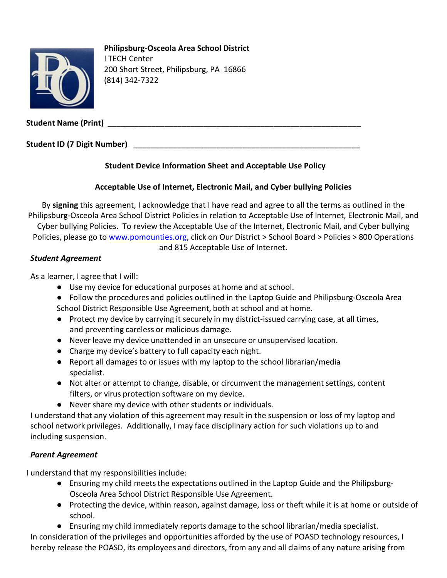

# **Philipsburg-Osceola Area School District**

I TECH Center 200 Short Street, Philipsburg, PA 16866 (814) 342-7322

**Student Name (Print) \_\_\_\_\_\_\_\_\_\_\_\_\_\_\_\_\_\_\_\_\_\_\_\_\_\_\_\_\_\_\_\_\_\_\_\_\_\_\_\_\_\_\_\_\_\_\_\_\_\_\_\_\_\_\_\_\_\_**

**Student ID (7 Digit Number) \_\_\_\_\_\_\_\_\_\_\_\_\_\_\_\_\_\_\_\_\_\_\_\_\_\_\_\_\_\_\_\_\_\_\_\_\_\_\_\_\_\_\_\_\_\_\_\_\_\_\_\_**

## **Student Device Information Sheet and Acceptable Use Policy**

## **Acceptable Use of Internet, Electronic Mail, and Cyber bullying Policies**

By **signing** this agreement, I acknowledge that I have read and agree to all the terms as outlined in the Philipsburg-Osceola Area School District Policies in relation to Acceptable Use of Internet, Electronic Mail, and Cyber bullying Policies. To review the Acceptable Use of the Internet, Electronic Mail, and Cyber bullying Policies, please go to [www.pomounties.org,](http://www.pomounties.org/) click on Our District > School Board > Policies > 800 Operations and 815 Acceptable Use of Internet.

### *Student Agreement*

As a learner, I agree that I will:

- Use my device for educational purposes at home and at school.
- Follow the procedures and policies outlined in the Laptop Guide and Philipsburg-Osceola Area School District Responsible Use Agreement, both at school and at home.
- Protect my device by carrying it securely in my district-issued carrying case, at all times, and preventing careless or malicious damage.
- Never leave my device unattended in an unsecure or unsupervised location.
- Charge my device's battery to full capacity each night.
- Report all damagesto or issues with my laptop to the school librarian/media specialist.
- Not alter or attempt to change, disable, or circumvent the management settings, content filters, or virus protection software on my device.
- Never share my device with other students or individuals.

I understand that any violation of this agreement may result in the suspension or loss of my laptop and school network privileges. Additionally, I may face disciplinary action for such violations up to and including suspension.

# *Parent Agreement*

I understand that my responsibilities include:

- Ensuring my child meetsthe expectations outlined in the Laptop Guide and the Philipsburg-Osceola Area School District Responsible Use Agreement.
- Protecting the device, within reason, against damage, loss or theft while it is at home or outside of school.
- Ensuring my child immediately reports damage to the school librarian/media specialist.

In consideration of the privileges and opportunities afforded by the use of POASD technology resources, I hereby release the POASD, its employees and directors, from any and all claims of any nature arising from